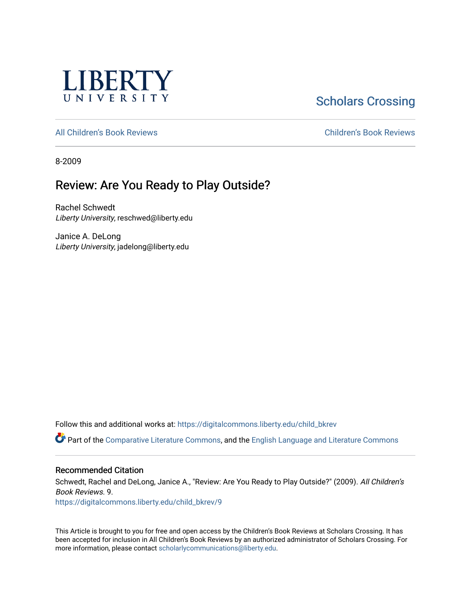

# **Scholars Crossing**

[All Children's Book Reviews](https://digitalcommons.liberty.edu/child_bkrev) [Children's Book Reviews](https://digitalcommons.liberty.edu/child_bookrev) 

8-2009

# Review: Are You Ready to Play Outside?

Rachel Schwedt Liberty University, reschwed@liberty.edu

Janice A. DeLong Liberty University, jadelong@liberty.edu

Follow this and additional works at: [https://digitalcommons.liberty.edu/child\\_bkrev](https://digitalcommons.liberty.edu/child_bkrev?utm_source=digitalcommons.liberty.edu%2Fchild_bkrev%2F9&utm_medium=PDF&utm_campaign=PDFCoverPages) 

Part of the [Comparative Literature Commons](http://network.bepress.com/hgg/discipline/454?utm_source=digitalcommons.liberty.edu%2Fchild_bkrev%2F9&utm_medium=PDF&utm_campaign=PDFCoverPages), and the [English Language and Literature Commons](http://network.bepress.com/hgg/discipline/455?utm_source=digitalcommons.liberty.edu%2Fchild_bkrev%2F9&utm_medium=PDF&utm_campaign=PDFCoverPages)

#### Recommended Citation

Schwedt, Rachel and DeLong, Janice A., "Review: Are You Ready to Play Outside?" (2009). All Children's Book Reviews. 9.

[https://digitalcommons.liberty.edu/child\\_bkrev/9](https://digitalcommons.liberty.edu/child_bkrev/9?utm_source=digitalcommons.liberty.edu%2Fchild_bkrev%2F9&utm_medium=PDF&utm_campaign=PDFCoverPages) 

This Article is brought to you for free and open access by the Children's Book Reviews at Scholars Crossing. It has been accepted for inclusion in All Children's Book Reviews by an authorized administrator of Scholars Crossing. For more information, please contact [scholarlycommunications@liberty.edu](mailto:scholarlycommunications@liberty.edu).